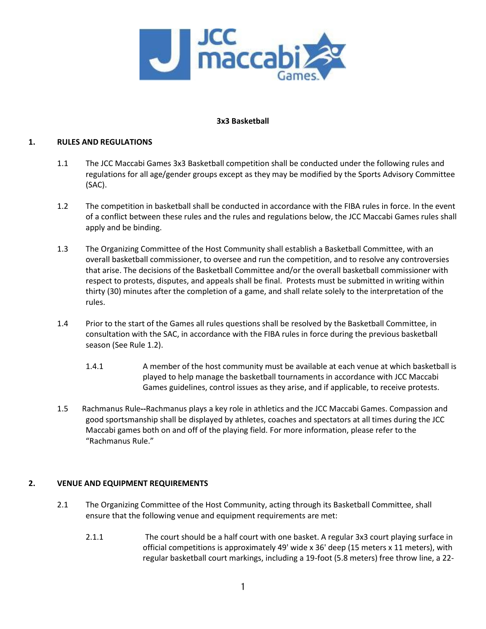

## **3x3 Basketball**

### **1. RULES AND REGULATIONS**

- 1.1 The JCC Maccabi Games 3x3 Basketball competition shall be conducted under the following rules and regulations for all age/gender groups except as they may be modified by the Sports Advisory Committee (SAC).
- 1.2 The competition in basketball shall be conducted in accordance with the FIBA rules in force. In the event of a conflict between these rules and the rules and regulations below, the JCC Maccabi Games rules shall apply and be binding.
- 1.3 The Organizing Committee of the Host Community shall establish a Basketball Committee, with an overall basketball commissioner, to oversee and run the competition, and to resolve any controversies that arise. The decisions of the Basketball Committee and/or the overall basketball commissioner with respect to protests, disputes, and appeals shall be final. Protests must be submitted in writing within thirty (30) minutes after the completion of a game, and shall relate solely to the interpretation of the rules.
- 1.4 Prior to the start of the Games all rules questions shall be resolved by the Basketball Committee, in consultation with the SAC, in accordance with the FIBA rules in force during the previous basketball season (See Rule 1.2).
	- 1.4.1 A member of the host community must be available at each venue at which basketball is played to help manage the basketball tournaments in accordance with JCC Maccabi Games guidelines, control issues as they arise, and if applicable, to receive protests.
- 1.5Rachmanus Rule**--**Rachmanus plays a key role in athletics and the JCC Maccabi Games. Compassion and good sportsmanship shall be displayed by athletes, coaches and spectators at all times during the JCC Maccabi games both on and off of the playing field. For more information, please refer to the "Rachmanus Rule."

## **2. VENUE AND EQUIPMENT REQUIREMENTS**

- 2.1 The Organizing Committee of the Host Community, acting through its Basketball Committee, shall ensure that the following venue and equipment requirements are met:
	- 2.1.1 The court should be a half court with one basket. A regular 3x3 court playing surface in official competitions is approximately 49' wide x 36' deep (15 meters x 11 meters), with regular basketball court markings, including a 19-foot (5.8 meters) free throw line, a 22-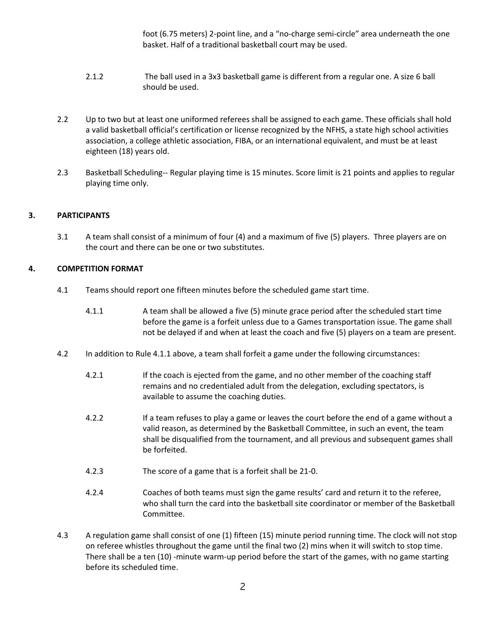foot (6.75 meters) 2-point line, and a "no-charge semi-circle" area underneath the one basket. Half of a traditional basketball court may be used.

- 2.1.2 The ball used in a 3x3 basketball game is different from a regular one. A size 6 ball should be used.
- 2.2 Up to two but at least one uniformed referees shall be assigned to each game. These officials shall hold a valid basketball official's certification or license recognized by the NFHS, a state high school activities association, a college athletic association, FIBA, or an international equivalent, and must be at least eighteen (18) years old.
- 2.3 Basketball Scheduling-- Regular playing time is 15 minutes. Score limit is 21 points and applies to regular playing time only.

# **3. PARTICIPANTS**

3.1 A team shall consist of a minimum of four (4) and a maximum of five (5) players. Three players are on the court and there can be one or two substitutes.

# **4. COMPETITION FORMAT**

- 4.1 Teams should report one fifteen minutes before the scheduled game start time.
	- 4.1.1 A team shall be allowed a five (5) minute grace period after the scheduled start time before the game is a forfeit unless due to a Games transportation issue. The game shall not be delayed if and when at least the coach and five (5) players on a team are present.
- 4.2 In addition to Rule 4.1.1 above, a team shall forfeit a game under the following circumstances:
	- 4.2.1 If the coach is ejected from the game, and no other member of the coaching staff remains and no credentialed adult from the delegation, excluding spectators, is available to assume the coaching duties.
	- 4.2.2 If a team refuses to play a game or leaves the court before the end of a game without a valid reason, as determined by the Basketball Committee, in such an event, the team shall be disqualified from the tournament, and all previous and subsequent games shall be forfeited.
	- 4.2.3 The score of a game that is a forfeit shall be 21-0.
	- 4.2.4 Coaches of both teams must sign the game results' card and return it to the referee, who shall turn the card into the basketball site coordinator or member of the Basketball Committee.
- 4.3 A regulation game shall consist of one (1) fifteen (15) minute period running time. The clock will not stop on referee whistles throughout the game until the final two (2) mins when it will switch to stop time. There shall be a ten (10) -minute warm-up period before the start of the games, with no game starting before its scheduled time.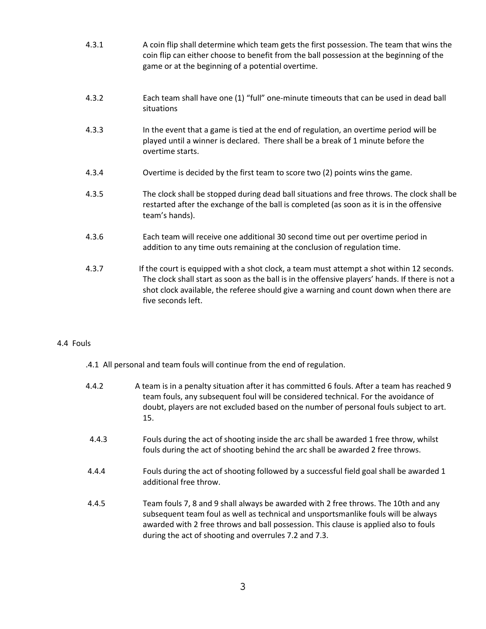- 4.3.1 A coin flip shall determine which team gets the first possession. The team that wins the coin flip can either choose to benefit from the ball possession at the beginning of the game or at the beginning of a potential overtime.
- 4.3.2 Each team shall have one (1) "full" one-minute timeouts that can be used in dead ball situations
- 4.3.3 In the event that a game is tied at the end of regulation, an overtime period will be played until a winner is declared. There shall be a break of 1 minute before the overtime starts.
- 4.3.4 Overtime is decided by the first team to score two (2) points wins the game.
- 4.3.5 The clock shall be stopped during dead ball situations and free throws. The clock shall be restarted after the exchange of the ball is completed (as soon as it is in the offensive team's hands).
- 4.3.6 Each team will receive one additional 30 second time out per overtime period in addition to any time outs remaining at the conclusion of regulation time.
- 4.3.7 If the court is equipped with a shot clock, a team must attempt a shot within 12 seconds. The clock shall start as soon as the ball is in the offensive players' hands. If there is not a shot clock available, the referee should give a warning and count down when there are five seconds left.

## 4.4 Fouls

- .4.1 All personal and team fouls will continue from the end of regulation.
- 4.4.2 A team is in a penalty situation after it has committed 6 fouls. After a team has reached 9 team fouls, any subsequent foul will be considered technical. For the avoidance of doubt, players are not excluded based on the number of personal fouls subject to art. 15. 4.4.3 Fouls during the act of shooting inside the arc shall be awarded 1 free throw, whilst fouls during the act of shooting behind the arc shall be awarded 2 free throws. 4.4.4 Fouls during the act of shooting followed by a successful field goal shall be awarded 1 additional free throw. 4.4.5 Team fouls 7, 8 and 9 shall always be awarded with 2 free throws. The 10th and any subsequent team foul as well as technical and unsportsmanlike fouls will be always awarded with 2 free throws and ball possession. This clause is applied also to fouls

during the act of shooting and overrules 7.2 and 7.3.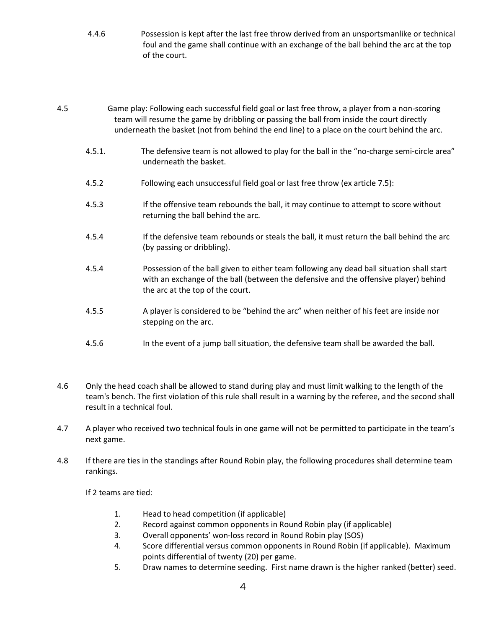- 4.4.6 Possession is kept after the last free throw derived from an unsportsmanlike or technical foul and the game shall continue with an exchange of the ball behind the arc at the top of the court.
- 4.5 Game play: Following each successful field goal or last free throw, a player from a non-scoring team will resume the game by dribbling or passing the ball from inside the court directly underneath the basket (not from behind the end line) to a place on the court behind the arc.
	- 4.5.1. The defensive team is not allowed to play for the ball in the "no-charge semi-circle area" underneath the basket.
	- 4.5.2 Following each unsuccessful field goal or last free throw (ex article 7.5):
	- 4.5.3 If the offensive team rebounds the ball, it may continue to attempt to score without returning the ball behind the arc.
	- 4.5.4 If the defensive team rebounds or steals the ball, it must return the ball behind the arc (by passing or dribbling).
	- 4.5.4 Possession of the ball given to either team following any dead ball situation shall start with an exchange of the ball (between the defensive and the offensive player) behind the arc at the top of the court.
	- 4.5.5 A player is considered to be "behind the arc" when neither of his feet are inside nor stepping on the arc.
	- 4.5.6 In the event of a jump ball situation, the defensive team shall be awarded the ball.
- 4.6 Only the head coach shall be allowed to stand during play and must limit walking to the length of the team's bench. The first violation of this rule shall result in a warning by the referee, and the second shall result in a technical foul.
- 4.7 A player who received two technical fouls in one game will not be permitted to participate in the team's next game.
- 4.8 If there are ties in the standings after Round Robin play, the following procedures shall determine team rankings.

If 2 teams are tied:

- 1. Head to head competition (if applicable)
- 2. Record against common opponents in Round Robin play (if applicable)
- 3. Overall opponents' won-loss record in Round Robin play (SOS)
- 4. Score differential versus common opponents in Round Robin (if applicable). Maximum points differential of twenty (20) per game.
- 5. Draw names to determine seeding. First name drawn is the higher ranked (better) seed.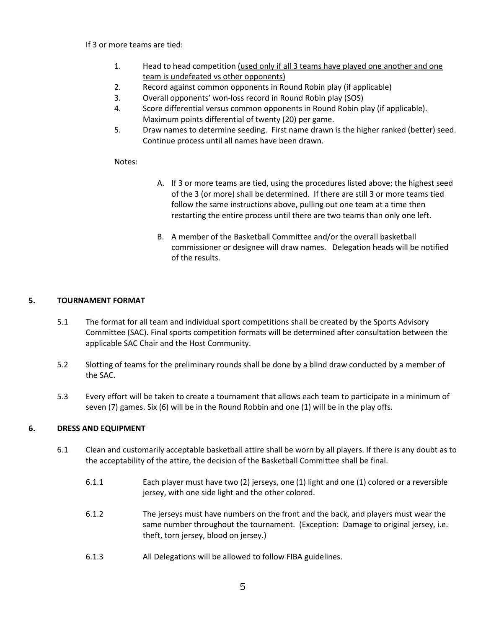#### If 3 or more teams are tied:

- 1. Head to head competition (used only if all 3 teams have played one another and one team is undefeated vs other opponents)
- 2. Record against common opponents in Round Robin play (if applicable)
- 3. Overall opponents' won-loss record in Round Robin play (SOS)
- 4. Score differential versus common opponents in Round Robin play (if applicable). Maximum points differential of twenty (20) per game.
- 5. Draw names to determine seeding. First name drawn is the higher ranked (better) seed. Continue process until all names have been drawn.

### Notes:

- A. If 3 or more teams are tied, using the procedures listed above; the highest seed of the 3 (or more) shall be determined. If there are still 3 or more teams tied follow the same instructions above, pulling out one team at a time then restarting the entire process until there are two teams than only one left.
- B. A member of the Basketball Committee and/or the overall basketball commissioner or designee will draw names. Delegation heads will be notified of the results.

## **5. TOURNAMENT FORMAT**

- 5.1 The format for all team and individual sport competitions shall be created by the Sports Advisory Committee (SAC). Final sports competition formats will be determined after consultation between the applicable SAC Chair and the Host Community.
- 5.2 Slotting of teams for the preliminary rounds shall be done by a blind draw conducted by a member of the SAC.
- 5.3 Every effort will be taken to create a tournament that allows each team to participate in a minimum of seven (7) games. Six (6) will be in the Round Robbin and one (1) will be in the play offs.

## **6. DRESS AND EQUIPMENT**

- 6.1 Clean and customarily acceptable basketball attire shall be worn by all players. If there is any doubt as to the acceptability of the attire, the decision of the Basketball Committee shall be final.
	- 6.1.1 Each player must have two (2) jerseys, one (1) light and one (1) colored or a reversible jersey, with one side light and the other colored.
	- 6.1.2 The jerseys must have numbers on the front and the back, and players must wear the same number throughout the tournament. (Exception: Damage to original jersey, i.e. theft, torn jersey, blood on jersey.)
	- 6.1.3 All Delegations will be allowed to follow FIBA guidelines.